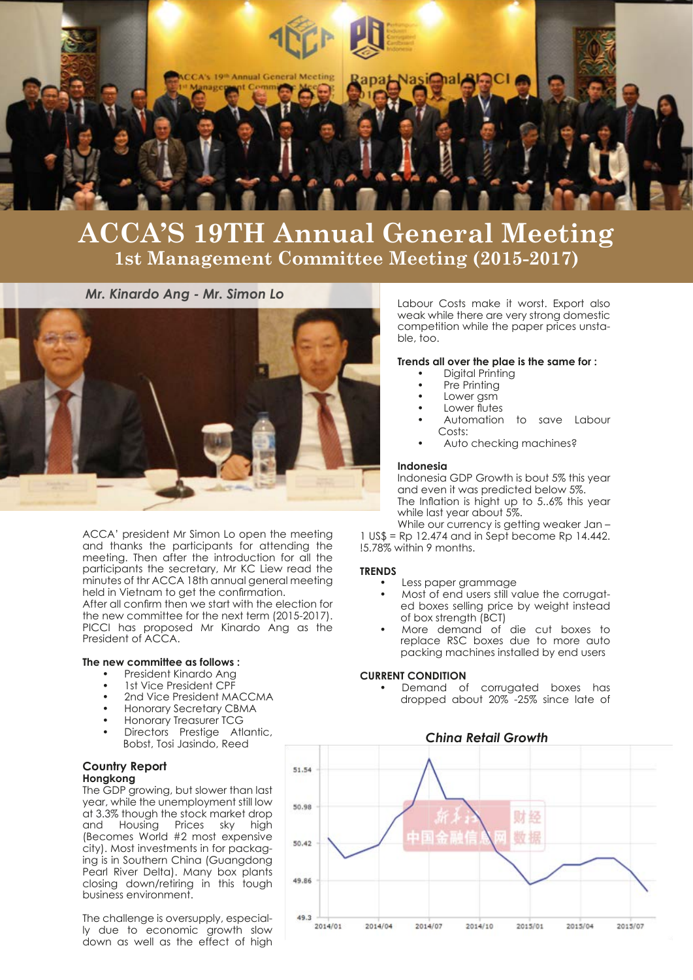

# **ACCA'S 19TH Annual General Meeting 1st Management Committee Meeting (2015-2017)**

*Mr. Kinardo Ang - Mr. Simon Lo*



ACCA' president Mr Simon Lo open the meeting and thanks the participants for attending the meeting. Then after the introduction for all the participants the secretary, Mr KC Liew read the minutes of thr ACCA 18th annual general meeting held in Vietnam to get the confirmation.

After all confirm then we start with the election for the new committee for the next term (2015-2017). PICCI has proposed Mr Kinardo Ang as the President of ACCA.

# **The new committee as follows :**

- President Kinardo Ang
- 1st Vice President CPF
- 2nd Vice President MACCMA
- Honorary Secretary CBMA
- Honorary Treasurer TCG
- Directors Prestige Atlantic, Bobst, Tosi Jasindo, Reed

# **Country Report Hongkong**

The GDP growing, but slower than last year, while the unemployment still low at 3.3% though the stock market drop<br>and Housing Prices sky hiah Housing Prices sky high (Becomes World #2 most expensive city). Most investments in for packaging is in Southern China (Guangdong Pearl River Delta). Many box plants closing down/retiring in this tough business environment.

The challenge is oversupply, especially due to economic growth slow down as well as the effect of high Labour Costs make it worst. Export also weak while there are very strong domestic competition while the paper prices unstable, too.

#### **Trends all over the plae is the same for :**

- Digital Printing
- Pre Printing
- Lower gsm
- Lower flutes
- Automation to save Labour Costs:
- Auto checking machines?

#### **Indonesia**

Indonesia GDP Growth is bout 5% this year and even it was predicted below 5%. The Inflation is hight up to 5..6% this year while last year about 5%.

While our currency is getting weaker Jan- $1 \text{ US}$ \$ = Rp 12.474 and in Sept become Rp 14.442. !5.78% within 9 months.

# **TRENDS**

- Less paper grammage
- Most of end users still value the corrugated boxes selling price by weight instead of box strength (BCT)
- More demand of die cut boxes to replace RSC boxes due to more auto packing machines installed by end users

# **CURRENT CONDITION**

Demand of corrugated boxes has dropped about 20% -25% since late of

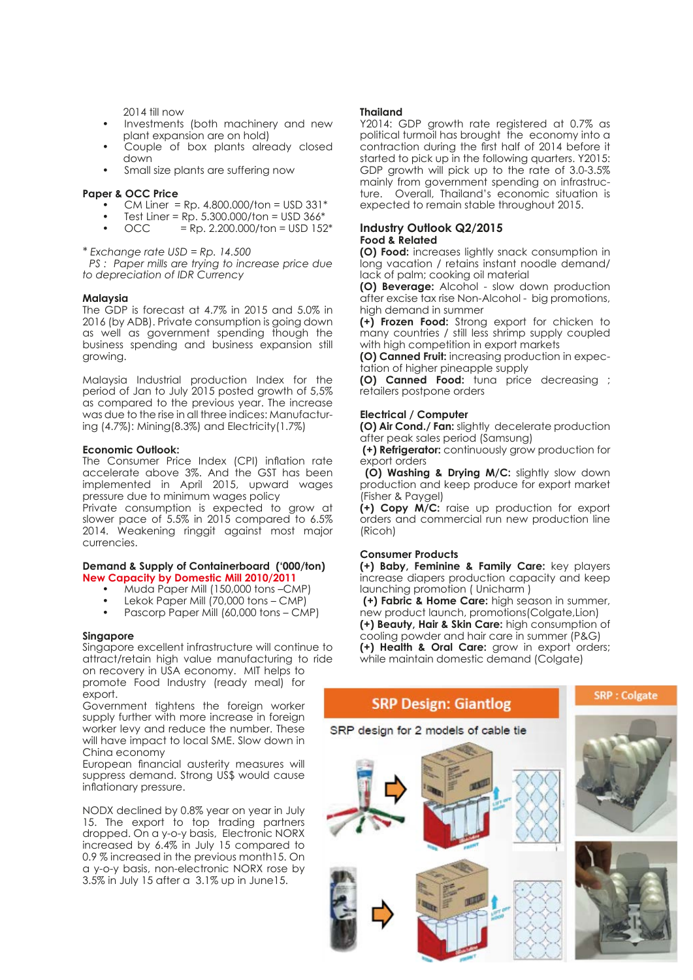$2014$  till now

- Investments (both machinery and new plant expansion are on hold)
- Couple of box plants already closed down
- Small size plants are suffering now

### **Paper & OCC Price**

- CM Liner =  $Rp. 4.800.000/ton = USD 331*$
- Test Liner = Rp. 5.300.000/ton = USD  $366*$ <br>OCC = Rp. 2.200.000/ton = USD 152
- $=$  Rp. 2.200.000/ton = USD 152 $*$

*\* Exchange rate USD = Rp. 14.500 PS : Paper mills are trying to increase price due to depreciation of IDR Currency*

# **Malaysia**

The GDP is forecast at 4.7% in 2015 and 5.0% in 2016 (by ADB). Private consumption is going down as well as government spending though the business spending and business expansion still growing.

Malaysia Industrial production Index for the period of Jan to July 2015 posted growth of 5,5% as compared to the previous year. The increase was due to the rise in all three indices: Manufacturing (4.7%): Mining(8.3%) and Electricity(1.7%)

#### **Economic Outlook:**

The Consumer Price Index (CPI) inflation rate accelerate above 3%. And the GST has been implemented in April 2015, upward wages pressure due to minimum wages policy Private consumption is expected to grow at slower pace of 5.5% in 2015 compared to 6.5% 2014. Weakening ringgit against most major

#### **Demand & Supply of Containerboard ('000/ton) New Capacity by Domestic Mill 2010/2011**

- Muda Paper Mill (150,000 tons –CMP)
- Lekok Paper Mill (70,000 tons CMP)
- Pascorp Paper Mill (60,000 tons CMP)

#### **Singapore**

currencies.

Singapore excellent infrastructure will continue to attract/retain high value manufacturing to ride on recovery in USA economy. MIT helps to promote Food Industry (ready meal) for export.

Government tightens the foreign worker supply further with more increase in foreign worker levy and reduce the number. These will have impact to local SME. Slow down in China economy

European financial austerity measures will suppress demand. Strong US\$ would cause inflationary pressure.

NODX declined by 0.8% year on year in July 15. The export to top trading partners dropped. On a y-o-y basis, Electronic NORX increased by 6.4% in July 15 compared to 0.9 % increased in the previous month15. On a y-o-y basis, non-electronic NORX rose by 3.5% in July 15 after a 3.1% up in June15.

#### **Thailand**

Y2014: GDP growth rate registered at 0.7% as political turmoil has brought the economy into a contraction during the first half of 2014 before it started to pick up in the following quarters. Y2015: GDP growth will pick up to the rate of 3.0-3.5% mainly from government spending on infrastructure. Overall, Thailand's economic situation is expected to remain stable throughout 2015.

### **Industry Outlook Q2/2015 Food & Related**

**(O) Food:** increases lightly snack consumption in long vacation / retains instant noodle demand/ lack of palm; cooking oil material

**(O) Beverage:** Alcohol - slow down production after excise tax rise Non-Alcohol - big promotions, high demand in summer

**(+) Frozen Food:** Strong export for chicken to many countries / still less shrimp supply coupled with high competition in export markets

**(O) Canned Fruit:** increasing production in expectation of higher pineapple supply

**(O) Canned Food:** tuna price decreasing ; retailers postpone orders

#### **Electrical / Computer**

**(O) Air Cond./ Fan:** slightly decelerate production after peak sales period (Samsung)

**(+) Refrigerator:** continuously grow production for export orders

**(O) Washing & Drying M/C:** slightly slow down production and keep produce for export market (Fisher & Paygel)

**(+) Copy M/C:** raise up production for export orders and commercial run new production line (Ricoh)

# **Consumer Products**

**(+) Baby, Feminine & Family Care:** key players increase diapers production capacity and keep launching promotion ( Unicharm )

 **(+) Fabric & Home Care:** high season in summer, new product launch, promotions(Colgate,Lion) **(+) Beauty, Hair & Skin Care:** high consumption of cooling powder and hair care in summer (P&G) **(+) Health & Oral Care:** grow in export orders; while maintain domestic demand (Colgate)